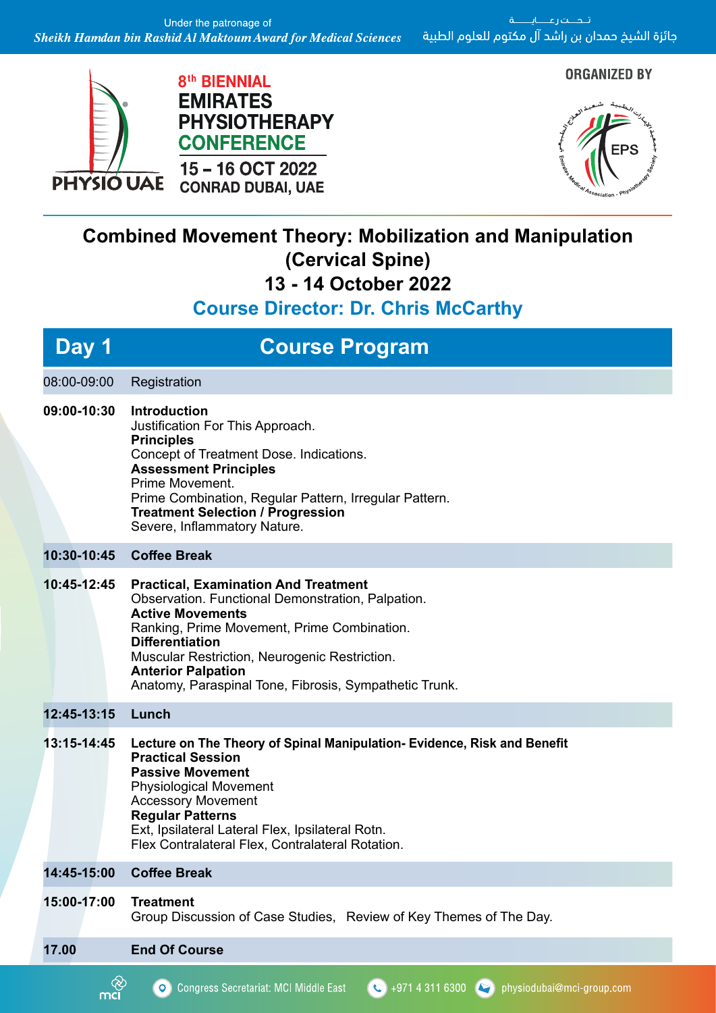تلطلت رعيلا إلى للة حائزة الشيخ حمدان بن راشد آل مكتوم للعلوم الطبية



 $mc<sub>l</sub>$ 

8<sup>th</sup> BIENNIAL **EMIRATES PHYSIOTHERAPY CONFERENCE** 15-16 OCT 2022 **CONRAD DUBAI, UAE** 



**ORGANIZED BY** 

## **Combined Movement Theory: Mobilization and Manipulation (Cervical Spine) 13 - 14 October 2022**

**Course Director: Dr. Chris McCarthy** 

| Day 1          | <b>Course Program</b>                                                                                                                                                                                                                                                                                                                        |
|----------------|----------------------------------------------------------------------------------------------------------------------------------------------------------------------------------------------------------------------------------------------------------------------------------------------------------------------------------------------|
| 08:00-09:00    | Registration                                                                                                                                                                                                                                                                                                                                 |
| 09:00-10:30    | <b>Introduction</b><br>Justification For This Approach.<br><b>Principles</b><br>Concept of Treatment Dose. Indications.<br><b>Assessment Principles</b><br>Prime Movement.<br>Prime Combination, Regular Pattern, Irregular Pattern.<br><b>Treatment Selection / Progression</b><br>Severe, Inflammatory Nature.                             |
| 10:30-10:45    | <b>Coffee Break</b>                                                                                                                                                                                                                                                                                                                          |
| 10:45-12:45    | <b>Practical, Examination And Treatment</b><br>Observation. Functional Demonstration, Palpation.<br><b>Active Movements</b><br>Ranking, Prime Movement, Prime Combination.<br><b>Differentiation</b><br>Muscular Restriction, Neurogenic Restriction.<br><b>Anterior Palpation</b><br>Anatomy, Paraspinal Tone, Fibrosis, Sympathetic Trunk. |
| 12:45-13:15    | Lunch                                                                                                                                                                                                                                                                                                                                        |
| 13:15-14:45    | Lecture on The Theory of Spinal Manipulation- Evidence, Risk and Benefit<br><b>Practical Session</b><br><b>Passive Movement</b><br><b>Physiological Movement</b><br><b>Accessory Movement</b><br><b>Regular Patterns</b><br>Ext, Ipsilateral Lateral Flex, Ipsilateral Rotn.<br>Flex Contralateral Flex, Contralateral Rotation.             |
| 14:45-15:00    | <b>Coffee Break</b>                                                                                                                                                                                                                                                                                                                          |
| 15:00-17:00    | <b>Treatment</b><br>Group Discussion of Case Studies, Review of Key Themes of The Day.                                                                                                                                                                                                                                                       |
| 17.00          | <b>End Of Course</b>                                                                                                                                                                                                                                                                                                                         |
| $^{\circledR}$ | Congress Secretariat: MCI Middle East<br>$\bigcup$ +971 4 311 6300<br>physiodubai@mci-group.com<br>$\circ$<br>$\blacksquare$                                                                                                                                                                                                                 |